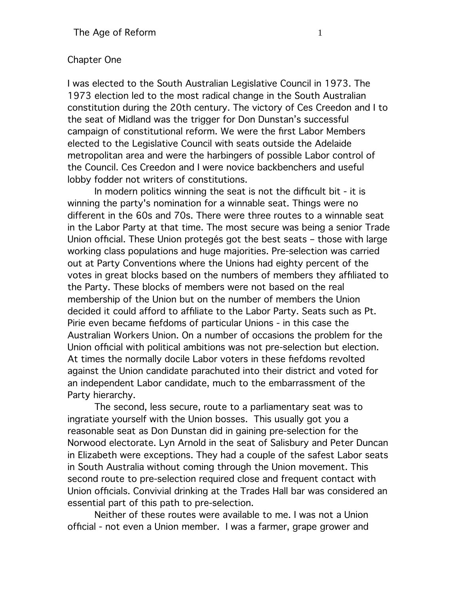## Chapter One

I was elected to the South Australian Legislative Council in 1973. The 1973 election led to the most radical change in the South Australian constitution during the 20th century. The victory of Ces Creedon and I to the seat of Midland was the trigger for Don Dunstan's successful campaign of constitutional reform. We were the frst Labor Members elected to the Legislative Council with seats outside the Adelaide metropolitan area and were the harbingers of possible Labor control of the Council. Ces Creedon and I were novice backbenchers and useful lobby fodder not writers of constitutions.

In modern politics winning the seat is not the diffcult bit - it is winning the party's nomination for a winnable seat. Things were no different in the 60s and 70s. There were three routes to a winnable seat in the Labor Party at that time. The most secure was being a senior Trade Union offcial. These Union protegés got the best seats – those with large working class populations and huge majorities. Pre-selection was carried out at Party Conventions where the Unions had eighty percent of the votes in great blocks based on the numbers of members they affliated to the Party. These blocks of members were not based on the real membership of the Union but on the number of members the Union decided it could afford to affliate to the Labor Party. Seats such as Pt. Pirie even became fefdoms of particular Unions - in this case the Australian Workers Union. On a number of occasions the problem for the Union offcial with political ambitions was not pre-selection but election. At times the normally docile Labor voters in these fefdoms revolted against the Union candidate parachuted into their district and voted for an independent Labor candidate, much to the embarrassment of the Party hierarchy.

The second, less secure, route to a parliamentary seat was to ingratiate yourself with the Union bosses. This usually got you a reasonable seat as Don Dunstan did in gaining pre-selection for the Norwood electorate. Lyn Arnold in the seat of Salisbury and Peter Duncan in Elizabeth were exceptions. They had a couple of the safest Labor seats in South Australia without coming through the Union movement. This second route to pre-selection required close and frequent contact with Union offcials. Convivial drinking at the Trades Hall bar was considered an essential part of this path to pre-selection.

Neither of these routes were available to me. I was not a Union offcial - not even a Union member. I was a farmer, grape grower and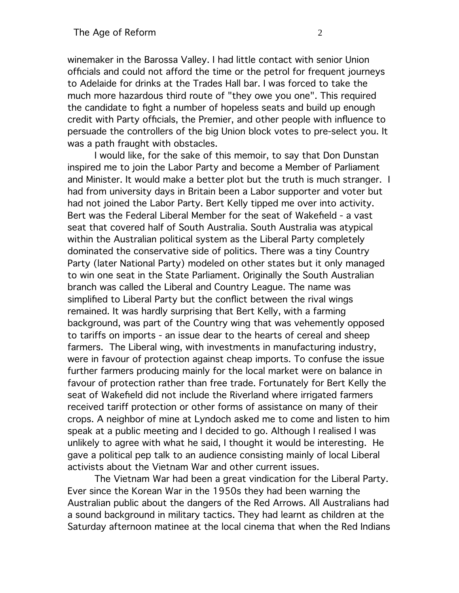winemaker in the Barossa Valley. I had little contact with senior Union offcials and could not afford the time or the petrol for frequent journeys to Adelaide for drinks at the Trades Hall bar. I was forced to take the much more hazardous third route of "they owe you one". This required the candidate to fight a number of hopeless seats and build up enough credit with Party offcials, the Premier, and other people with infuence to persuade the controllers of the big Union block votes to pre-select you. It was a path fraught with obstacles.

I would like, for the sake of this memoir, to say that Don Dunstan inspired me to join the Labor Party and become a Member of Parliament and Minister. It would make a better plot but the truth is much stranger. I had from university days in Britain been a Labor supporter and voter but had not joined the Labor Party. Bert Kelly tipped me over into activity. Bert was the Federal Liberal Member for the seat of Wakefeld - a vast seat that covered half of South Australia. South Australia was atypical within the Australian political system as the Liberal Party completely dominated the conservative side of politics. There was a tiny Country Party (later National Party) modeled on other states but it only managed to win one seat in the State Parliament. Originally the South Australian branch was called the Liberal and Country League. The name was simplifed to Liberal Party but the confict between the rival wings remained. It was hardly surprising that Bert Kelly, with a farming background, was part of the Country wing that was vehemently opposed to tariffs on imports - an issue dear to the hearts of cereal and sheep farmers. The Liberal wing, with investments in manufacturing industry, were in favour of protection against cheap imports. To confuse the issue further farmers producing mainly for the local market were on balance in favour of protection rather than free trade. Fortunately for Bert Kelly the seat of Wakefeld did not include the Riverland where irrigated farmers received tariff protection or other forms of assistance on many of their crops. A neighbor of mine at Lyndoch asked me to come and listen to him speak at a public meeting and I decided to go. Although I realised I was unlikely to agree with what he said, I thought it would be interesting. He gave a political pep talk to an audience consisting mainly of local Liberal activists about the Vietnam War and other current issues.

The Vietnam War had been a great vindication for the Liberal Party. Ever since the Korean War in the 1950s they had been warning the Australian public about the dangers of the Red Arrows. All Australians had a sound background in military tactics. They had learnt as children at the Saturday afternoon matinee at the local cinema that when the Red Indians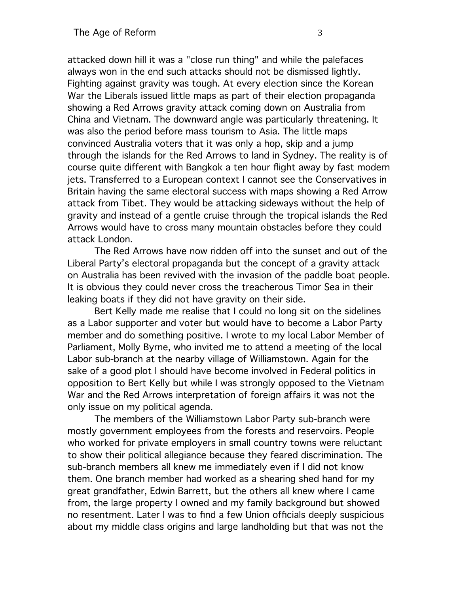attacked down hill it was a "close run thing" and while the palefaces always won in the end such attacks should not be dismissed lightly. Fighting against gravity was tough. At every election since the Korean War the Liberals issued little maps as part of their election propaganda showing a Red Arrows gravity attack coming down on Australia from China and Vietnam. The downward angle was particularly threatening. It was also the period before mass tourism to Asia. The little maps convinced Australia voters that it was only a hop, skip and a jump through the islands for the Red Arrows to land in Sydney. The reality is of course quite different with Bangkok a ten hour fight away by fast modern jets. Transferred to a European context I cannot see the Conservatives in Britain having the same electoral success with maps showing a Red Arrow attack from Tibet. They would be attacking sideways without the help of gravity and instead of a gentle cruise through the tropical islands the Red Arrows would have to cross many mountain obstacles before they could attack London.

The Red Arrows have now ridden off into the sunset and out of the Liberal Party's electoral propaganda but the concept of a gravity attack on Australia has been revived with the invasion of the paddle boat people. It is obvious they could never cross the treacherous Timor Sea in their leaking boats if they did not have gravity on their side.

Bert Kelly made me realise that I could no long sit on the sidelines as a Labor supporter and voter but would have to become a Labor Party member and do something positive. I wrote to my local Labor Member of Parliament, Molly Byrne, who invited me to attend a meeting of the local Labor sub-branch at the nearby village of Williamstown. Again for the sake of a good plot I should have become involved in Federal politics in opposition to Bert Kelly but while I was strongly opposed to the Vietnam War and the Red Arrows interpretation of foreign affairs it was not the only issue on my political agenda.

The members of the Williamstown Labor Party sub-branch were mostly government employees from the forests and reservoirs. People who worked for private employers in small country towns were reluctant to show their political allegiance because they feared discrimination. The sub-branch members all knew me immediately even if I did not know them. One branch member had worked as a shearing shed hand for my great grandfather, Edwin Barrett, but the others all knew where I came from, the large property I owned and my family background but showed no resentment. Later I was to fnd a few Union offcials deeply suspicious about my middle class origins and large landholding but that was not the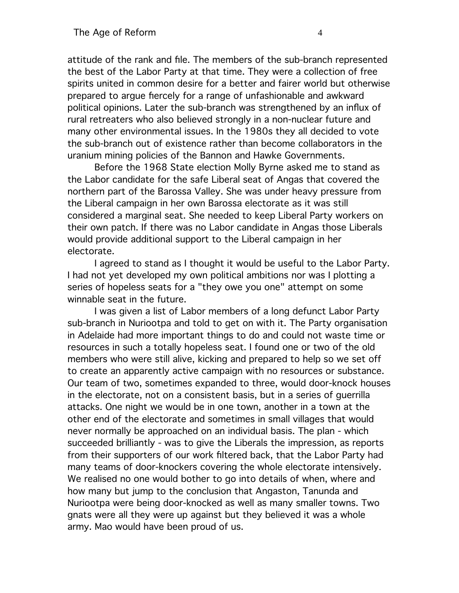attitude of the rank and fle. The members of the sub-branch represented the best of the Labor Party at that time. They were a collection of free spirits united in common desire for a better and fairer world but otherwise prepared to argue fercely for a range of unfashionable and awkward political opinions. Later the sub-branch was strengthened by an infux of rural retreaters who also believed strongly in a non-nuclear future and many other environmental issues. In the 1980s they all decided to vote the sub-branch out of existence rather than become collaborators in the uranium mining policies of the Bannon and Hawke Governments.

Before the 1968 State election Molly Byrne asked me to stand as the Labor candidate for the safe Liberal seat of Angas that covered the northern part of the Barossa Valley. She was under heavy pressure from the Liberal campaign in her own Barossa electorate as it was still considered a marginal seat. She needed to keep Liberal Party workers on their own patch. If there was no Labor candidate in Angas those Liberals would provide additional support to the Liberal campaign in her electorate.

I agreed to stand as I thought it would be useful to the Labor Party. I had not yet developed my own political ambitions nor was I plotting a series of hopeless seats for a "they owe you one" attempt on some winnable seat in the future.

I was given a list of Labor members of a long defunct Labor Party sub-branch in Nuriootpa and told to get on with it. The Party organisation in Adelaide had more important things to do and could not waste time or resources in such a totally hopeless seat. I found one or two of the old members who were still alive, kicking and prepared to help so we set off to create an apparently active campaign with no resources or substance. Our team of two, sometimes expanded to three, would door-knock houses in the electorate, not on a consistent basis, but in a series of guerrilla attacks. One night we would be in one town, another in a town at the other end of the electorate and sometimes in small villages that would never normally be approached on an individual basis. The plan - which succeeded brilliantly - was to give the Liberals the impression, as reports from their supporters of our work fltered back, that the Labor Party had many teams of door-knockers covering the whole electorate intensively. We realised no one would bother to go into details of when, where and how many but jump to the conclusion that Angaston, Tanunda and Nuriootpa were being door-knocked as well as many smaller towns. Two gnats were all they were up against but they believed it was a whole army. Mao would have been proud of us.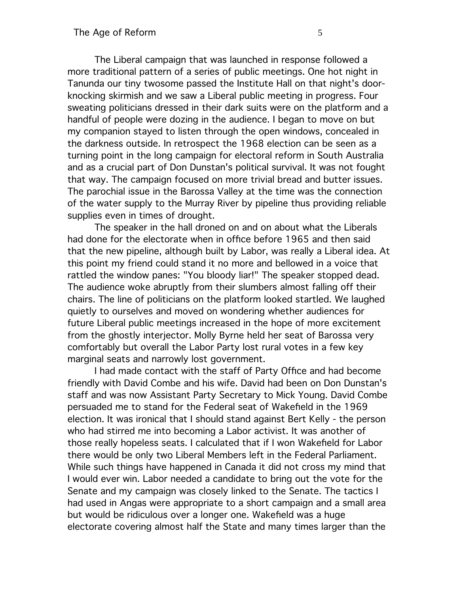The Liberal campaign that was launched in response followed a more traditional pattern of a series of public meetings. One hot night in Tanunda our tiny twosome passed the Institute Hall on that night's doorknocking skirmish and we saw a Liberal public meeting in progress. Four sweating politicians dressed in their dark suits were on the platform and a handful of people were dozing in the audience. I began to move on but my companion stayed to listen through the open windows, concealed in the darkness outside. In retrospect the 1968 election can be seen as a turning point in the long campaign for electoral reform in South Australia and as a crucial part of Don Dunstan's political survival. It was not fought that way. The campaign focused on more trivial bread and butter issues. The parochial issue in the Barossa Valley at the time was the connection of the water supply to the Murray River by pipeline thus providing reliable supplies even in times of drought.

The speaker in the hall droned on and on about what the Liberals had done for the electorate when in office before 1965 and then said that the new pipeline, although built by Labor, was really a Liberal idea. At this point my friend could stand it no more and bellowed in a voice that rattled the window panes: "You bloody liar!" The speaker stopped dead. The audience woke abruptly from their slumbers almost falling off their chairs. The line of politicians on the platform looked startled. We laughed quietly to ourselves and moved on wondering whether audiences for future Liberal public meetings increased in the hope of more excitement from the ghostly interjector. Molly Byrne held her seat of Barossa very comfortably but overall the Labor Party lost rural votes in a few key marginal seats and narrowly lost government.

I had made contact with the staff of Party Offce and had become friendly with David Combe and his wife. David had been on Don Dunstan's staff and was now Assistant Party Secretary to Mick Young. David Combe persuaded me to stand for the Federal seat of Wakefeld in the 1969 election. It was ironical that I should stand against Bert Kelly - the person who had stirred me into becoming a Labor activist. It was another of those really hopeless seats. I calculated that if I won Wakefeld for Labor there would be only two Liberal Members left in the Federal Parliament. While such things have happened in Canada it did not cross my mind that I would ever win. Labor needed a candidate to bring out the vote for the Senate and my campaign was closely linked to the Senate. The tactics I had used in Angas were appropriate to a short campaign and a small area but would be ridiculous over a longer one. Wakefeld was a huge electorate covering almost half the State and many times larger than the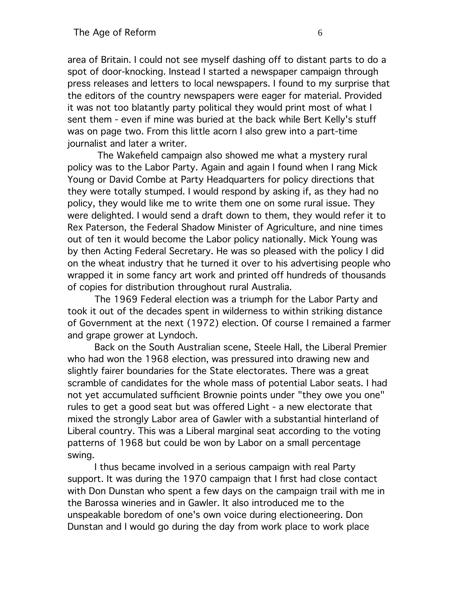area of Britain. I could not see myself dashing off to distant parts to do a spot of door-knocking. Instead I started a newspaper campaign through press releases and letters to local newspapers. I found to my surprise that the editors of the country newspapers were eager for material. Provided it was not too blatantly party political they would print most of what I sent them - even if mine was buried at the back while Bert Kelly's stuff was on page two. From this little acorn I also grew into a part-time journalist and later a writer.

 The Wakefeld campaign also showed me what a mystery rural policy was to the Labor Party. Again and again I found when I rang Mick Young or David Combe at Party Headquarters for policy directions that they were totally stumped. I would respond by asking if, as they had no policy, they would like me to write them one on some rural issue. They were delighted. I would send a draft down to them, they would refer it to Rex Paterson, the Federal Shadow Minister of Agriculture, and nine times out of ten it would become the Labor policy nationally. Mick Young was by then Acting Federal Secretary. He was so pleased with the policy I did on the wheat industry that he turned it over to his advertising people who wrapped it in some fancy art work and printed off hundreds of thousands of copies for distribution throughout rural Australia.

The 1969 Federal election was a triumph for the Labor Party and took it out of the decades spent in wilderness to within striking distance of Government at the next (1972) election. Of course I remained a farmer and grape grower at Lyndoch.

Back on the South Australian scene, Steele Hall, the Liberal Premier who had won the 1968 election, was pressured into drawing new and slightly fairer boundaries for the State electorates. There was a great scramble of candidates for the whole mass of potential Labor seats. I had not yet accumulated suffcient Brownie points under "they owe you one" rules to get a good seat but was offered Light - a new electorate that mixed the strongly Labor area of Gawler with a substantial hinterland of Liberal country. This was a Liberal marginal seat according to the voting patterns of 1968 but could be won by Labor on a small percentage swing.

I thus became involved in a serious campaign with real Party support. It was during the 1970 campaign that I frst had close contact with Don Dunstan who spent a few days on the campaign trail with me in the Barossa wineries and in Gawler. It also introduced me to the unspeakable boredom of one's own voice during electioneering. Don Dunstan and I would go during the day from work place to work place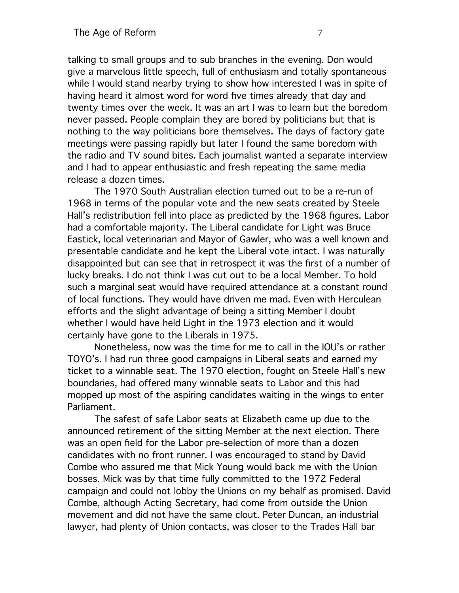talking to small groups and to sub branches in the evening. Don would give a marvelous little speech, full of enthusiasm and totally spontaneous while I would stand nearby trying to show how interested I was in spite of having heard it almost word for word fve times already that day and twenty times over the week. It was an art I was to learn but the boredom never passed. People complain they are bored by politicians but that is nothing to the way politicians bore themselves. The days of factory gate meetings were passing rapidly but later I found the same boredom with the radio and TV sound bites. Each journalist wanted a separate interview and I had to appear enthusiastic and fresh repeating the same media release a dozen times.

The 1970 South Australian election turned out to be a re-run of 1968 in terms of the popular vote and the new seats created by Steele Hall's redistribution fell into place as predicted by the 1968 fgures. Labor had a comfortable majority. The Liberal candidate for Light was Bruce Eastick, local veterinarian and Mayor of Gawler, who was a well known and presentable candidate and he kept the Liberal vote intact. I was naturally disappointed but can see that in retrospect it was the frst of a number of lucky breaks. I do not think I was cut out to be a local Member. To hold such a marginal seat would have required attendance at a constant round of local functions. They would have driven me mad. Even with Herculean efforts and the slight advantage of being a sitting Member I doubt whether I would have held Light in the 1973 election and it would certainly have gone to the Liberals in 1975.

Nonetheless, now was the time for me to call in the IOU's or rather TOYO's. I had run three good campaigns in Liberal seats and earned my ticket to a winnable seat. The 1970 election, fought on Steele Hall's new boundaries, had offered many winnable seats to Labor and this had mopped up most of the aspiring candidates waiting in the wings to enter Parliament.

The safest of safe Labor seats at Elizabeth came up due to the announced retirement of the sitting Member at the next election. There was an open feld for the Labor pre-selection of more than a dozen candidates with no front runner. I was encouraged to stand by David Combe who assured me that Mick Young would back me with the Union bosses. Mick was by that time fully committed to the 1972 Federal campaign and could not lobby the Unions on my behalf as promised. David Combe, although Acting Secretary, had come from outside the Union movement and did not have the same clout. Peter Duncan, an industrial lawyer, had plenty of Union contacts, was closer to the Trades Hall bar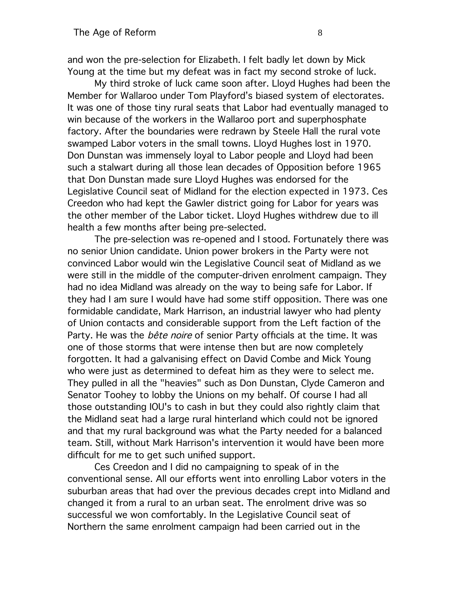and won the pre-selection for Elizabeth. I felt badly let down by Mick Young at the time but my defeat was in fact my second stroke of luck.

My third stroke of luck came soon after. Lloyd Hughes had been the Member for Wallaroo under Tom Playford's biased system of electorates. It was one of those tiny rural seats that Labor had eventually managed to win because of the workers in the Wallaroo port and superphosphate factory. After the boundaries were redrawn by Steele Hall the rural vote swamped Labor voters in the small towns. Lloyd Hughes lost in 1970. Don Dunstan was immensely loyal to Labor people and Lloyd had been such a stalwart during all those lean decades of Opposition before 1965 that Don Dunstan made sure Lloyd Hughes was endorsed for the Legislative Council seat of Midland for the election expected in 1973. Ces Creedon who had kept the Gawler district going for Labor for years was the other member of the Labor ticket. Lloyd Hughes withdrew due to ill health a few months after being pre-selected.

The pre-selection was re-opened and I stood. Fortunately there was no senior Union candidate. Union power brokers in the Party were not convinced Labor would win the Legislative Council seat of Midland as we were still in the middle of the computer-driven enrolment campaign. They had no idea Midland was already on the way to being safe for Labor. If they had I am sure I would have had some stiff opposition. There was one formidable candidate, Mark Harrison, an industrial lawyer who had plenty of Union contacts and considerable support from the Left faction of the Party. He was the *bête noire* of senior Party officials at the time. It was one of those storms that were intense then but are now completely forgotten. It had a galvanising effect on David Combe and Mick Young who were just as determined to defeat him as they were to select me. They pulled in all the "heavies" such as Don Dunstan, Clyde Cameron and Senator Toohey to lobby the Unions on my behalf. Of course I had all those outstanding IOU's to cash in but they could also rightly claim that the Midland seat had a large rural hinterland which could not be ignored and that my rural background was what the Party needed for a balanced team. Still, without Mark Harrison's intervention it would have been more diffcult for me to get such unifed support.

Ces Creedon and I did no campaigning to speak of in the conventional sense. All our efforts went into enrolling Labor voters in the suburban areas that had over the previous decades crept into Midland and changed it from a rural to an urban seat. The enrolment drive was so successful we won comfortably. In the Legislative Council seat of Northern the same enrolment campaign had been carried out in the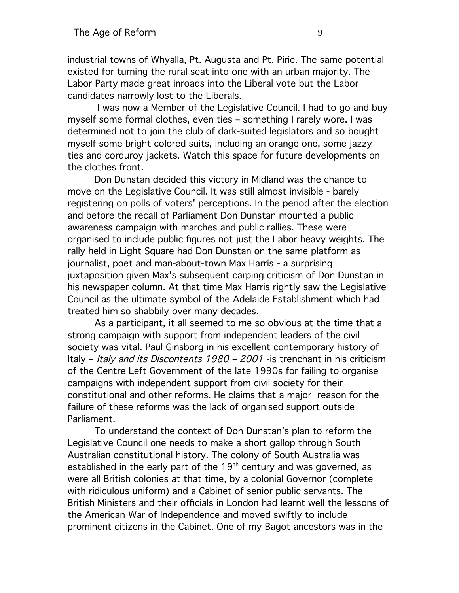industrial towns of Whyalla, Pt. Augusta and Pt. Pirie. The same potential existed for turning the rural seat into one with an urban majority. The Labor Party made great inroads into the Liberal vote but the Labor candidates narrowly lost to the Liberals.

 I was now a Member of the Legislative Council. I had to go and buy myself some formal clothes, even ties – something I rarely wore. I was determined not to join the club of dark-suited legislators and so bought myself some bright colored suits, including an orange one, some jazzy ties and corduroy jackets. Watch this space for future developments on the clothes front.

Don Dunstan decided this victory in Midland was the chance to move on the Legislative Council. It was still almost invisible - barely registering on polls of voters' perceptions. In the period after the election and before the recall of Parliament Don Dunstan mounted a public awareness campaign with marches and public rallies. These were organised to include public fgures not just the Labor heavy weights. The rally held in Light Square had Don Dunstan on the same platform as journalist, poet and man-about-town Max Harris - a surprising juxtaposition given Max's subsequent carping criticism of Don Dunstan in his newspaper column. At that time Max Harris rightly saw the Legislative Council as the ultimate symbol of the Adelaide Establishment which had treated him so shabbily over many decades.

As a participant, it all seemed to me so obvious at the time that a strong campaign with support from independent leaders of the civil society was vital. Paul Ginsborg in his excellent contemporary history of Italy – Italy and its Discontents 1980 – 2001 -is trenchant in his criticism of the Centre Left Government of the late 1990s for failing to organise campaigns with independent support from civil society for their constitutional and other reforms. He claims that a major reason for the failure of these reforms was the lack of organised support outside Parliament.

To understand the context of Don Dunstan's plan to reform the Legislative Council one needs to make a short gallop through South Australian constitutional history. The colony of South Australia was established in the early part of the  $19<sup>th</sup>$  century and was governed, as were all British colonies at that time, by a colonial Governor (complete with ridiculous uniform) and a Cabinet of senior public servants. The British Ministers and their offcials in London had learnt well the lessons of the American War of Independence and moved swiftly to include prominent citizens in the Cabinet. One of my Bagot ancestors was in the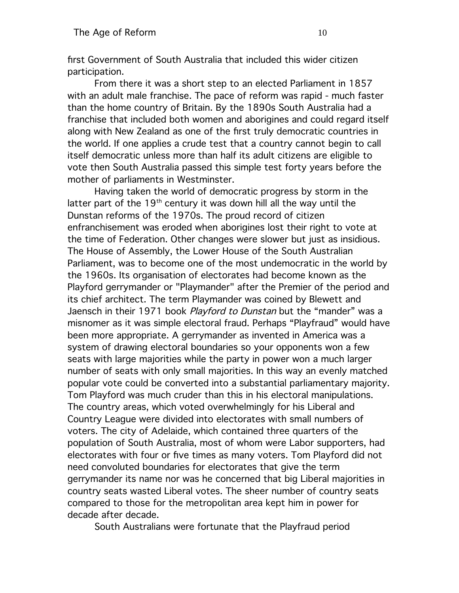frst Government of South Australia that included this wider citizen participation.

From there it was a short step to an elected Parliament in 1857 with an adult male franchise. The pace of reform was rapid - much faster than the home country of Britain. By the 1890s South Australia had a franchise that included both women and aborigines and could regard itself along with New Zealand as one of the frst truly democratic countries in the world. If one applies a crude test that a country cannot begin to call itself democratic unless more than half its adult citizens are eligible to vote then South Australia passed this simple test forty years before the mother of parliaments in Westminster.

Having taken the world of democratic progress by storm in the latter part of the  $19<sup>th</sup>$  century it was down hill all the way until the Dunstan reforms of the 1970s. The proud record of citizen enfranchisement was eroded when aborigines lost their right to vote at the time of Federation. Other changes were slower but just as insidious. The House of Assembly, the Lower House of the South Australian Parliament, was to become one of the most undemocratic in the world by the 1960s. Its organisation of electorates had become known as the Playford gerrymander or "Playmander" after the Premier of the period and its chief architect. The term Playmander was coined by Blewett and Jaensch in their 1971 book Playford to Dunstan but the "mander" was a misnomer as it was simple electoral fraud. Perhaps "Playfraud" would have been more appropriate. A gerrymander as invented in America was a system of drawing electoral boundaries so your opponents won a few seats with large majorities while the party in power won a much larger number of seats with only small majorities. In this way an evenly matched popular vote could be converted into a substantial parliamentary majority. Tom Playford was much cruder than this in his electoral manipulations. The country areas, which voted overwhelmingly for his Liberal and Country League were divided into electorates with small numbers of voters. The city of Adelaide, which contained three quarters of the population of South Australia, most of whom were Labor supporters, had electorates with four or fve times as many voters. Tom Playford did not need convoluted boundaries for electorates that give the term gerrymander its name nor was he concerned that big Liberal majorities in country seats wasted Liberal votes. The sheer number of country seats compared to those for the metropolitan area kept him in power for decade after decade.

South Australians were fortunate that the Playfraud period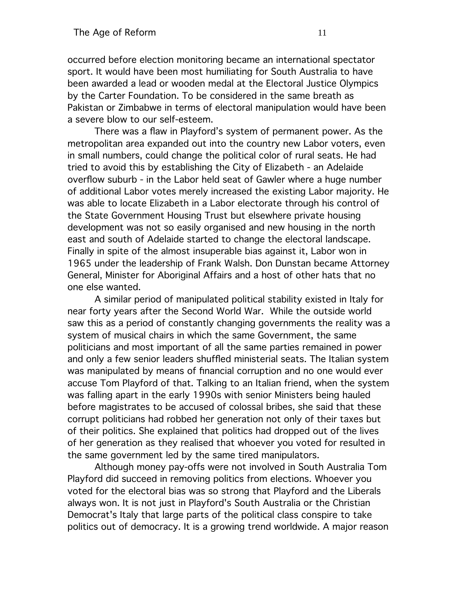occurred before election monitoring became an international spectator sport. It would have been most humiliating for South Australia to have been awarded a lead or wooden medal at the Electoral Justice Olympics by the Carter Foundation. To be considered in the same breath as Pakistan or Zimbabwe in terms of electoral manipulation would have been a severe blow to our self-esteem.

There was a faw in Playford's system of permanent power. As the metropolitan area expanded out into the country new Labor voters, even in small numbers, could change the political color of rural seats. He had tried to avoid this by establishing the City of Elizabeth - an Adelaide overfow suburb - in the Labor held seat of Gawler where a huge number of additional Labor votes merely increased the existing Labor majority. He was able to locate Elizabeth in a Labor electorate through his control of the State Government Housing Trust but elsewhere private housing development was not so easily organised and new housing in the north east and south of Adelaide started to change the electoral landscape. Finally in spite of the almost insuperable bias against it, Labor won in 1965 under the leadership of Frank Walsh. Don Dunstan became Attorney General, Minister for Aboriginal Affairs and a host of other hats that no one else wanted.

A similar period of manipulated political stability existed in Italy for near forty years after the Second World War. While the outside world saw this as a period of constantly changing governments the reality was a system of musical chairs in which the same Government, the same politicians and most important of all the same parties remained in power and only a few senior leaders shuffed ministerial seats. The Italian system was manipulated by means of fnancial corruption and no one would ever accuse Tom Playford of that. Talking to an Italian friend, when the system was falling apart in the early 1990s with senior Ministers being hauled before magistrates to be accused of colossal bribes, she said that these corrupt politicians had robbed her generation not only of their taxes but of their politics. She explained that politics had dropped out of the lives of her generation as they realised that whoever you voted for resulted in the same government led by the same tired manipulators.

Although money pay-offs were not involved in South Australia Tom Playford did succeed in removing politics from elections. Whoever you voted for the electoral bias was so strong that Playford and the Liberals always won. It is not just in Playford's South Australia or the Christian Democrat's Italy that large parts of the political class conspire to take politics out of democracy. It is a growing trend worldwide. A major reason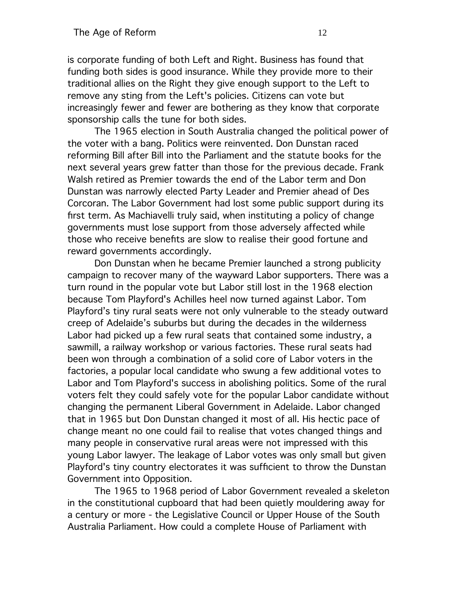is corporate funding of both Left and Right. Business has found that funding both sides is good insurance. While they provide more to their traditional allies on the Right they give enough support to the Left to remove any sting from the Left's policies. Citizens can vote but increasingly fewer and fewer are bothering as they know that corporate sponsorship calls the tune for both sides.

The 1965 election in South Australia changed the political power of the voter with a bang. Politics were reinvented. Don Dunstan raced reforming Bill after Bill into the Parliament and the statute books for the next several years grew fatter than those for the previous decade. Frank Walsh retired as Premier towards the end of the Labor term and Don Dunstan was narrowly elected Party Leader and Premier ahead of Des Corcoran. The Labor Government had lost some public support during its frst term. As Machiavelli truly said, when instituting a policy of change governments must lose support from those adversely affected while those who receive benefts are slow to realise their good fortune and reward governments accordingly.

Don Dunstan when he became Premier launched a strong publicity campaign to recover many of the wayward Labor supporters. There was a turn round in the popular vote but Labor still lost in the 1968 election because Tom Playford's Achilles heel now turned against Labor. Tom Playford's tiny rural seats were not only vulnerable to the steady outward creep of Adelaide's suburbs but during the decades in the wilderness Labor had picked up a few rural seats that contained some industry, a sawmill, a railway workshop or various factories. These rural seats had been won through a combination of a solid core of Labor voters in the factories, a popular local candidate who swung a few additional votes to Labor and Tom Playford's success in abolishing politics. Some of the rural voters felt they could safely vote for the popular Labor candidate without changing the permanent Liberal Government in Adelaide. Labor changed that in 1965 but Don Dunstan changed it most of all. His hectic pace of change meant no one could fail to realise that votes changed things and many people in conservative rural areas were not impressed with this young Labor lawyer. The leakage of Labor votes was only small but given Playford's tiny country electorates it was sufficient to throw the Dunstan Government into Opposition.

The 1965 to 1968 period of Labor Government revealed a skeleton in the constitutional cupboard that had been quietly mouldering away for a century or more - the Legislative Council or Upper House of the South Australia Parliament. How could a complete House of Parliament with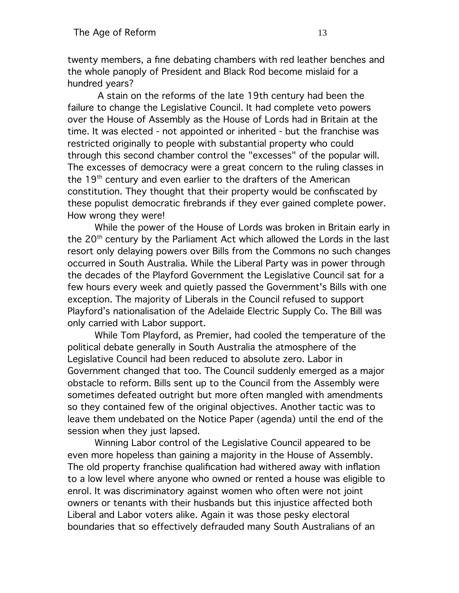twenty members, a fne debating chambers with red leather benches and the whole panoply of President and Black Rod become mislaid for a hundred years?

 A stain on the reforms of the late 19th century had been the failure to change the Legislative Council. It had complete veto powers over the House of Assembly as the House of Lords had in Britain at the time. It was elected - not appointed or inherited - but the franchise was restricted originally to people with substantial property who could through this second chamber control the "excesses" of the popular will. The excesses of democracy were a great concern to the ruling classes in the 19<sup>th</sup> century and even earlier to the drafters of the American constitution. They thought that their property would be confscated by these populist democratic frebrands if they ever gained complete power. How wrong they were!

While the power of the House of Lords was broken in Britain early in the 20<sup>th</sup> century by the Parliament Act which allowed the Lords in the last resort only delaying powers over Bills from the Commons no such changes occurred in South Australia. While the Liberal Party was in power through the decades of the Playford Government the Legislative Council sat for a few hours every week and quietly passed the Government's Bills with one exception. The majority of Liberals in the Council refused to support Playford's nationalisation of the Adelaide Electric Supply Co. The Bill was only carried with Labor support.

While Tom Playford, as Premier, had cooled the temperature of the political debate generally in South Australia the atmosphere of the Legislative Council had been reduced to absolute zero. Labor in Government changed that too. The Council suddenly emerged as a major obstacle to reform. Bills sent up to the Council from the Assembly were sometimes defeated outright but more often mangled with amendments so they contained few of the original objectives. Another tactic was to leave them undebated on the Notice Paper (agenda) until the end of the session when they just lapsed.

Winning Labor control of the Legislative Council appeared to be even more hopeless than gaining a majority in the House of Assembly. The old property franchise qualifcation had withered away with infation to a low level where anyone who owned or rented a house was eligible to enrol. It was discriminatory against women who often were not joint owners or tenants with their husbands but this injustice affected both Liberal and Labor voters alike. Again it was those pesky electoral boundaries that so effectively defrauded many South Australians of an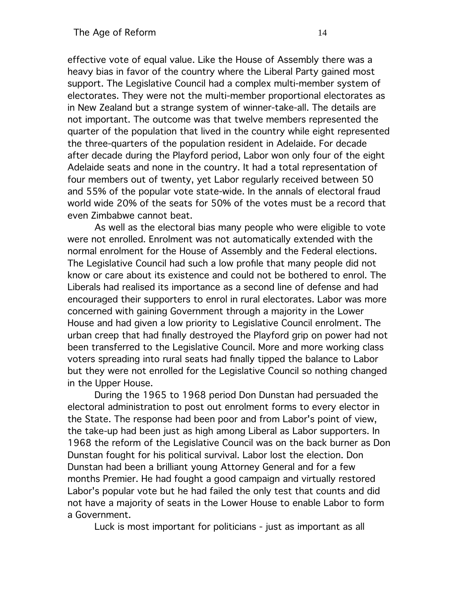effective vote of equal value. Like the House of Assembly there was a heavy bias in favor of the country where the Liberal Party gained most support. The Legislative Council had a complex multi-member system of electorates. They were not the multi-member proportional electorates as in New Zealand but a strange system of winner-take-all. The details are not important. The outcome was that twelve members represented the quarter of the population that lived in the country while eight represented the three-quarters of the population resident in Adelaide. For decade after decade during the Playford period, Labor won only four of the eight Adelaide seats and none in the country. It had a total representation of four members out of twenty, yet Labor regularly received between 50 and 55% of the popular vote state-wide. In the annals of electoral fraud world wide 20% of the seats for 50% of the votes must be a record that even Zimbabwe cannot beat.

As well as the electoral bias many people who were eligible to vote were not enrolled. Enrolment was not automatically extended with the normal enrolment for the House of Assembly and the Federal elections. The Legislative Council had such a low profle that many people did not know or care about its existence and could not be bothered to enrol. The Liberals had realised its importance as a second line of defense and had encouraged their supporters to enrol in rural electorates. Labor was more concerned with gaining Government through a majority in the Lower House and had given a low priority to Legislative Council enrolment. The urban creep that had fnally destroyed the Playford grip on power had not been transferred to the Legislative Council. More and more working class voters spreading into rural seats had fnally tipped the balance to Labor but they were not enrolled for the Legislative Council so nothing changed in the Upper House.

During the 1965 to 1968 period Don Dunstan had persuaded the electoral administration to post out enrolment forms to every elector in the State. The response had been poor and from Labor's point of view, the take-up had been just as high among Liberal as Labor supporters. In 1968 the reform of the Legislative Council was on the back burner as Don Dunstan fought for his political survival. Labor lost the election. Don Dunstan had been a brilliant young Attorney General and for a few months Premier. He had fought a good campaign and virtually restored Labor's popular vote but he had failed the only test that counts and did not have a majority of seats in the Lower House to enable Labor to form a Government.

Luck is most important for politicians - just as important as all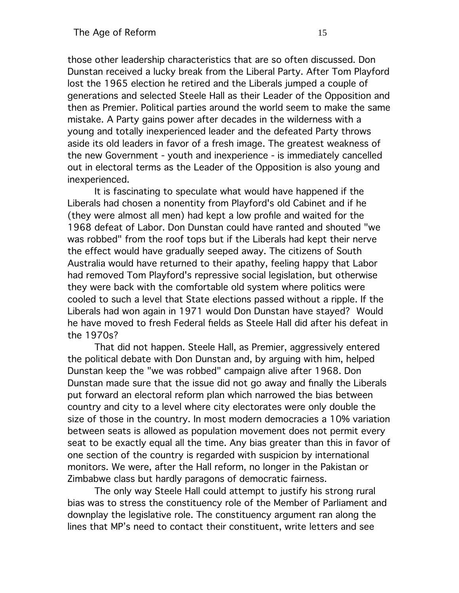those other leadership characteristics that are so often discussed. Don Dunstan received a lucky break from the Liberal Party. After Tom Playford lost the 1965 election he retired and the Liberals jumped a couple of generations and selected Steele Hall as their Leader of the Opposition and then as Premier. Political parties around the world seem to make the same mistake. A Party gains power after decades in the wilderness with a young and totally inexperienced leader and the defeated Party throws aside its old leaders in favor of a fresh image. The greatest weakness of the new Government - youth and inexperience - is immediately cancelled out in electoral terms as the Leader of the Opposition is also young and inexperienced.

It is fascinating to speculate what would have happened if the Liberals had chosen a nonentity from Playford's old Cabinet and if he (they were almost all men) had kept a low profle and waited for the 1968 defeat of Labor. Don Dunstan could have ranted and shouted "we was robbed" from the roof tops but if the Liberals had kept their nerve the effect would have gradually seeped away. The citizens of South Australia would have returned to their apathy, feeling happy that Labor had removed Tom Playford's repressive social legislation, but otherwise they were back with the comfortable old system where politics were cooled to such a level that State elections passed without a ripple. If the Liberals had won again in 1971 would Don Dunstan have stayed? Would he have moved to fresh Federal felds as Steele Hall did after his defeat in the 1970s?

That did not happen. Steele Hall, as Premier, aggressively entered the political debate with Don Dunstan and, by arguing with him, helped Dunstan keep the "we was robbed" campaign alive after 1968. Don Dunstan made sure that the issue did not go away and fnally the Liberals put forward an electoral reform plan which narrowed the bias between country and city to a level where city electorates were only double the size of those in the country. In most modern democracies a 10% variation between seats is allowed as population movement does not permit every seat to be exactly equal all the time. Any bias greater than this in favor of one section of the country is regarded with suspicion by international monitors. We were, after the Hall reform, no longer in the Pakistan or Zimbabwe class but hardly paragons of democratic fairness.

The only way Steele Hall could attempt to justify his strong rural bias was to stress the constituency role of the Member of Parliament and downplay the legislative role. The constituency argument ran along the lines that MP's need to contact their constituent, write letters and see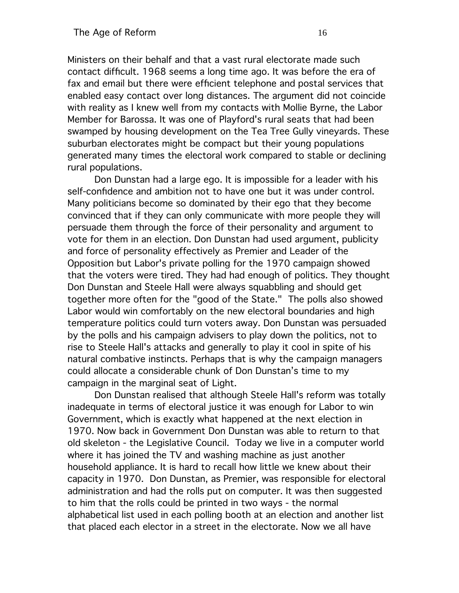Ministers on their behalf and that a vast rural electorate made such contact diffcult. 1968 seems a long time ago. It was before the era of fax and email but there were effcient telephone and postal services that enabled easy contact over long distances. The argument did not coincide with reality as I knew well from my contacts with Mollie Byrne, the Labor Member for Barossa. It was one of Playford's rural seats that had been swamped by housing development on the Tea Tree Gully vineyards. These suburban electorates might be compact but their young populations generated many times the electoral work compared to stable or declining rural populations.

Don Dunstan had a large ego. It is impossible for a leader with his self-confdence and ambition not to have one but it was under control. Many politicians become so dominated by their ego that they become convinced that if they can only communicate with more people they will persuade them through the force of their personality and argument to vote for them in an election. Don Dunstan had used argument, publicity and force of personality effectively as Premier and Leader of the Opposition but Labor's private polling for the 1970 campaign showed that the voters were tired. They had had enough of politics. They thought Don Dunstan and Steele Hall were always squabbling and should get together more often for the "good of the State." The polls also showed Labor would win comfortably on the new electoral boundaries and high temperature politics could turn voters away. Don Dunstan was persuaded by the polls and his campaign advisers to play down the politics, not to rise to Steele Hall's attacks and generally to play it cool in spite of his natural combative instincts. Perhaps that is why the campaign managers could allocate a considerable chunk of Don Dunstan's time to my campaign in the marginal seat of Light.

Don Dunstan realised that although Steele Hall's reform was totally inadequate in terms of electoral justice it was enough for Labor to win Government, which is exactly what happened at the next election in 1970. Now back in Government Don Dunstan was able to return to that old skeleton - the Legislative Council. Today we live in a computer world where it has joined the TV and washing machine as just another household appliance. It is hard to recall how little we knew about their capacity in 1970. Don Dunstan, as Premier, was responsible for electoral administration and had the rolls put on computer. It was then suggested to him that the rolls could be printed in two ways - the normal alphabetical list used in each polling booth at an election and another list that placed each elector in a street in the electorate. Now we all have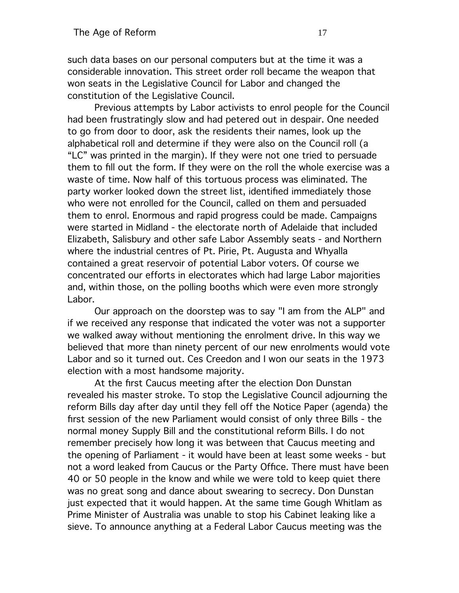such data bases on our personal computers but at the time it was a considerable innovation. This street order roll became the weapon that won seats in the Legislative Council for Labor and changed the constitution of the Legislative Council.

Previous attempts by Labor activists to enrol people for the Council had been frustratingly slow and had petered out in despair. One needed to go from door to door, ask the residents their names, look up the alphabetical roll and determine if they were also on the Council roll (a "LC" was printed in the margin). If they were not one tried to persuade them to fll out the form. If they were on the roll the whole exercise was a waste of time. Now half of this tortuous process was eliminated. The party worker looked down the street list, identifed immediately those who were not enrolled for the Council, called on them and persuaded them to enrol. Enormous and rapid progress could be made. Campaigns were started in Midland - the electorate north of Adelaide that included Elizabeth, Salisbury and other safe Labor Assembly seats - and Northern where the industrial centres of Pt. Pirie, Pt. Augusta and Whyalla contained a great reservoir of potential Labor voters. Of course we concentrated our efforts in electorates which had large Labor majorities and, within those, on the polling booths which were even more strongly Labor.

Our approach on the doorstep was to say "I am from the ALP" and if we received any response that indicated the voter was not a supporter we walked away without mentioning the enrolment drive. In this way we believed that more than ninety percent of our new enrolments would vote Labor and so it turned out. Ces Creedon and I won our seats in the 1973 election with a most handsome majority.

At the frst Caucus meeting after the election Don Dunstan revealed his master stroke. To stop the Legislative Council adjourning the reform Bills day after day until they fell off the Notice Paper (agenda) the frst session of the new Parliament would consist of only three Bills - the normal money Supply Bill and the constitutional reform Bills. I do not remember precisely how long it was between that Caucus meeting and the opening of Parliament - it would have been at least some weeks - but not a word leaked from Caucus or the Party Offce. There must have been 40 or 50 people in the know and while we were told to keep quiet there was no great song and dance about swearing to secrecy. Don Dunstan just expected that it would happen. At the same time Gough Whitlam as Prime Minister of Australia was unable to stop his Cabinet leaking like a sieve. To announce anything at a Federal Labor Caucus meeting was the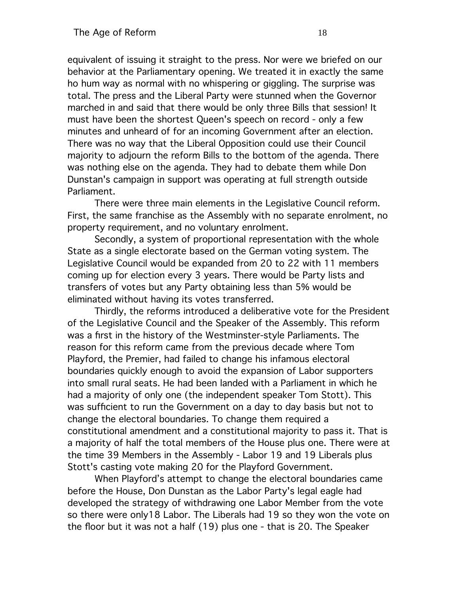equivalent of issuing it straight to the press. Nor were we briefed on our behavior at the Parliamentary opening. We treated it in exactly the same ho hum way as normal with no whispering or giggling. The surprise was total. The press and the Liberal Party were stunned when the Governor marched in and said that there would be only three Bills that session! It must have been the shortest Queen's speech on record - only a few minutes and unheard of for an incoming Government after an election. There was no way that the Liberal Opposition could use their Council majority to adjourn the reform Bills to the bottom of the agenda. There was nothing else on the agenda. They had to debate them while Don Dunstan's campaign in support was operating at full strength outside Parliament.

There were three main elements in the Legislative Council reform. First, the same franchise as the Assembly with no separate enrolment, no property requirement, and no voluntary enrolment.

Secondly, a system of proportional representation with the whole State as a single electorate based on the German voting system. The Legislative Council would be expanded from 20 to 22 with 11 members coming up for election every 3 years. There would be Party lists and transfers of votes but any Party obtaining less than 5% would be eliminated without having its votes transferred.

Thirdly, the reforms introduced a deliberative vote for the President of the Legislative Council and the Speaker of the Assembly. This reform was a frst in the history of the Westminster-style Parliaments. The reason for this reform came from the previous decade where Tom Playford, the Premier, had failed to change his infamous electoral boundaries quickly enough to avoid the expansion of Labor supporters into small rural seats. He had been landed with a Parliament in which he had a majority of only one (the independent speaker Tom Stott). This was suffcient to run the Government on a day to day basis but not to change the electoral boundaries. To change them required a constitutional amendment and a constitutional majority to pass it. That is a majority of half the total members of the House plus one. There were at the time 39 Members in the Assembly - Labor 19 and 19 Liberals plus Stott's casting vote making 20 for the Playford Government.

When Playford's attempt to change the electoral boundaries came before the House, Don Dunstan as the Labor Party's legal eagle had developed the strategy of withdrawing one Labor Member from the vote so there were only18 Labor. The Liberals had 19 so they won the vote on the foor but it was not a half (19) plus one - that is 20. The Speaker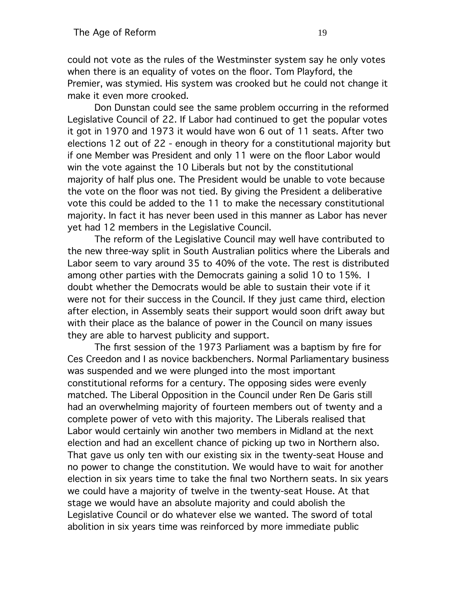could not vote as the rules of the Westminster system say he only votes when there is an equality of votes on the floor. Tom Playford, the Premier, was stymied. His system was crooked but he could not change it make it even more crooked.

Don Dunstan could see the same problem occurring in the reformed Legislative Council of 22. If Labor had continued to get the popular votes it got in 1970 and 1973 it would have won 6 out of 11 seats. After two elections 12 out of 22 - enough in theory for a constitutional majority but if one Member was President and only 11 were on the foor Labor would win the vote against the 10 Liberals but not by the constitutional majority of half plus one. The President would be unable to vote because the vote on the foor was not tied. By giving the President a deliberative vote this could be added to the 11 to make the necessary constitutional majority. In fact it has never been used in this manner as Labor has never yet had 12 members in the Legislative Council.

The reform of the Legislative Council may well have contributed to the new three-way split in South Australian politics where the Liberals and Labor seem to vary around 35 to 40% of the vote. The rest is distributed among other parties with the Democrats gaining a solid 10 to 15%. I doubt whether the Democrats would be able to sustain their vote if it were not for their success in the Council. If they just came third, election after election, in Assembly seats their support would soon drift away but with their place as the balance of power in the Council on many issues they are able to harvest publicity and support.

The frst session of the 1973 Parliament was a baptism by fre for Ces Creedon and I as novice backbenchers. Normal Parliamentary business was suspended and we were plunged into the most important constitutional reforms for a century. The opposing sides were evenly matched. The Liberal Opposition in the Council under Ren De Garis still had an overwhelming majority of fourteen members out of twenty and a complete power of veto with this majority. The Liberals realised that Labor would certainly win another two members in Midland at the next election and had an excellent chance of picking up two in Northern also. That gave us only ten with our existing six in the twenty-seat House and no power to change the constitution. We would have to wait for another election in six years time to take the fnal two Northern seats. In six years we could have a majority of twelve in the twenty-seat House. At that stage we would have an absolute majority and could abolish the Legislative Council or do whatever else we wanted. The sword of total abolition in six years time was reinforced by more immediate public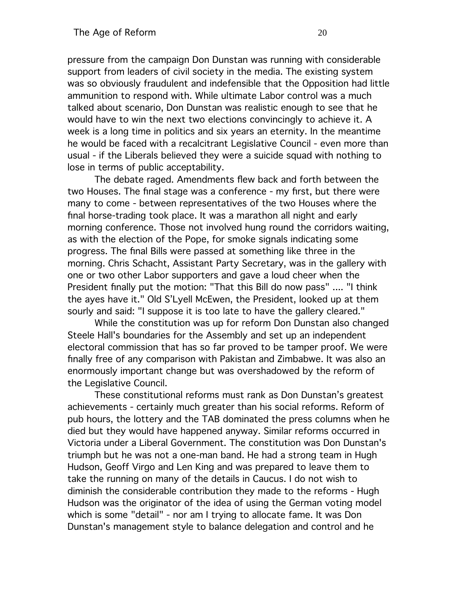pressure from the campaign Don Dunstan was running with considerable support from leaders of civil society in the media. The existing system was so obviously fraudulent and indefensible that the Opposition had little ammunition to respond with. While ultimate Labor control was a much talked about scenario, Don Dunstan was realistic enough to see that he would have to win the next two elections convincingly to achieve it. A week is a long time in politics and six years an eternity. In the meantime he would be faced with a recalcitrant Legislative Council - even more than usual - if the Liberals believed they were a suicide squad with nothing to lose in terms of public acceptability.

The debate raged. Amendments few back and forth between the two Houses. The fnal stage was a conference - my frst, but there were many to come - between representatives of the two Houses where the fnal horse-trading took place. It was a marathon all night and early morning conference. Those not involved hung round the corridors waiting, as with the election of the Pope, for smoke signals indicating some progress. The fnal Bills were passed at something like three in the morning. Chris Schacht, Assistant Party Secretary, was in the gallery with one or two other Labor supporters and gave a loud cheer when the President fnally put the motion: "That this Bill do now pass" .... "I think the ayes have it." Old S'Lyell McEwen, the President, looked up at them sourly and said: "I suppose it is too late to have the gallery cleared."

While the constitution was up for reform Don Dunstan also changed Steele Hall's boundaries for the Assembly and set up an independent electoral commission that has so far proved to be tamper proof. We were fnally free of any comparison with Pakistan and Zimbabwe. It was also an enormously important change but was overshadowed by the reform of the Legislative Council.

These constitutional reforms must rank as Don Dunstan's greatest achievements - certainly much greater than his social reforms. Reform of pub hours, the lottery and the TAB dominated the press columns when he died but they would have happened anyway. Similar reforms occurred in Victoria under a Liberal Government. The constitution was Don Dunstan's triumph but he was not a one-man band. He had a strong team in Hugh Hudson, Geoff Virgo and Len King and was prepared to leave them to take the running on many of the details in Caucus. I do not wish to diminish the considerable contribution they made to the reforms - Hugh Hudson was the originator of the idea of using the German voting model which is some "detail" - nor am I trying to allocate fame. It was Don Dunstan's management style to balance delegation and control and he